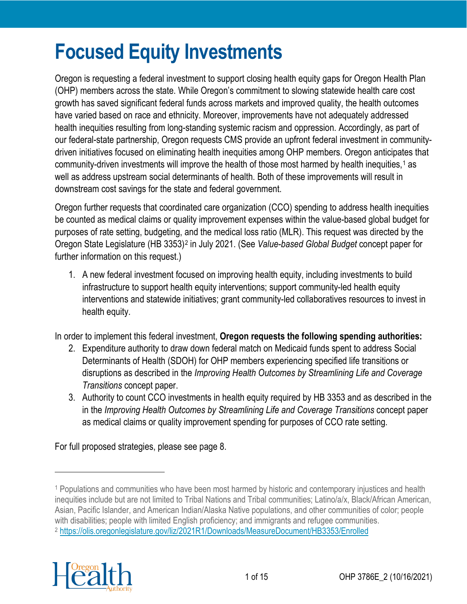# **Focused Equity Investments**

Oregon is requesting a federal investment to support closing health equity gaps for Oregon Health Plan (OHP) members across the state. While Oregon's commitment to slowing statewide health care cost growth has saved significant federal funds across markets and improved quality, the health outcomes have varied based on race and ethnicity. Moreover, improvements have not adequately addressed health inequities resulting from long-standing systemic racism and oppression. Accordingly, as part of our federal-state partnership, Oregon requests CMS provide an upfront federal investment in communitydriven initiatives focused on eliminating health inequities among OHP members. Oregon anticipates that community-driven investments will improve the health of those most harmed by health inequities,<sup>[1](#page-0-0)</sup> as well as address upstream social determinants of health. Both of these improvements will result in downstream cost savings for the state and federal government.

Oregon further requests that coordinated care organization (CCO) spending to address health inequities be counted as medical claims or quality improvement expenses within the value-based global budget for purposes of rate setting, budgeting, and the medical loss ratio (MLR). This request was directed by the Oregon State Legislature (HB 3353)[2](#page-0-1) in July 2021. (See *Value-based Global Budget* concept paper for further information on this request.)

1. A new federal investment focused on improving health equity, including investments to build infrastructure to support health equity interventions; support community-led health equity interventions and statewide initiatives; grant community-led collaboratives resources to invest in health equity.

In order to implement this federal investment, **Oregon requests the following spending authorities:**

- 2. Expenditure authority to draw down federal match on Medicaid funds spent to address Social Determinants of Health (SDOH) for OHP members experiencing specified life transitions or disruptions as described in the *Improving Health Outcomes by Streamlining Life and Coverage Transitions* concept paper.
- 3. Authority to count CCO investments in health equity required by HB 3353 and as described in the in the *Improving Health Outcomes by Streamlining Life and Coverage Transitions* concept paper as medical claims or quality improvement spending for purposes of CCO rate setting.

For full proposed strategies, please see page 8.

<span id="page-0-1"></span><span id="page-0-0"></span><sup>1</sup> Populations and communities who have been most harmed by historic and contemporary injustices and health inequities include but are not limited to Tribal Nations and Tribal communities; Latino/a/x, Black/African American, Asian, Pacific Islander, and American Indian/Alaska Native populations, and other communities of color; people with disabilities; people with limited English proficiency; and immigrants and refugee communities. <sup>2</sup> <https://olis.oregonlegislature.gov/liz/2021R1/Downloads/MeasureDocument/HB3353/Enrolled>

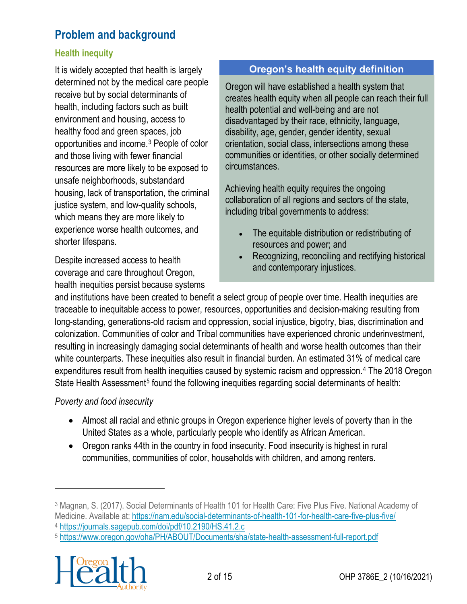# **Problem and background**

#### **Health inequity**

It is widely accepted that health is largely determined not by the medical care people receive but by social determinants of health, including factors such as built environment and housing, access to healthy food and green spaces, job opportunities and income.[3](#page-1-0) People of color and those living with fewer financial resources are more likely to be exposed to unsafe neighborhoods, substandard housing, lack of transportation, the criminal justice system, and low-quality schools, which means they are more likely to experience worse health outcomes, and shorter lifespans.

Despite increased access to health coverage and care throughout Oregon, health inequities persist because systems

#### **Oregon's health equity definition**

Oregon will have established a health system that creates health equity when all people can reach their full health potential and well-being and are not disadvantaged by their race, ethnicity, language, disability, age, gender, gender identity, sexual orientation, social class, intersections among these communities or identities, or other socially determined circumstances.

Achieving health equity requires the ongoing collaboration of all regions and sectors of the state, including tribal governments to address:

- The equitable distribution or redistributing of resources and power; and
- Recognizing, reconciling and rectifying historical and contemporary injustices.

and institutions have been created to benefit a select group of people over time. Health inequities are traceable to inequitable access to power, resources, opportunities and decision-making resulting from long-standing, generations-old racism and oppression, social injustice, bigotry, bias, discrimination and colonization. Communities of color and Tribal communities have experienced chronic underinvestment, resulting in increasingly damaging social determinants of health and worse health outcomes than their white counterparts. These inequities also result in financial burden. An estimated 31% of medical care expenditures result from health inequities caused by systemic racism and oppression.[4](#page-1-1) The 2018 Oregon State Health Assessment<sup>[5](#page-1-2)</sup> found the following inequities regarding social determinants of health:

#### *Poverty and food insecurity*

- Almost all racial and ethnic groups in Oregon experience higher levels of poverty than in the United States as a whole, particularly people who identify as African American.
- Oregon ranks 44th in the country in food insecurity. Food insecurity is highest in rural communities, communities of color, households with children, and among renters.

<span id="page-1-2"></span><span id="page-1-1"></span><sup>5</sup> <https://www.oregon.gov/oha/PH/ABOUT/Documents/sha/state-health-assessment-full-report.pdf>



<span id="page-1-0"></span><sup>3</sup> Magnan, S. (2017). Social Determinants of Health 101 for Health Care: Five Plus Five. National Academy of Medicine. Available at:<https://nam.edu/social-determinants-of-health-101-for-health-care-five-plus-five/> <sup>4</sup> <https://journals.sagepub.com/doi/pdf/10.2190/HS.41.2.c>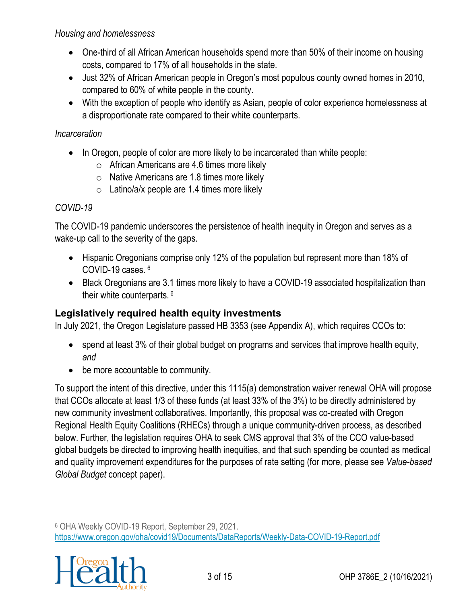#### *Housing and homelessness*

- One-third of all African American households spend more than 50% of their income on housing costs, compared to 17% of all households in the state.
- Just 32% of African American people in Oregon's most populous county owned homes in 2010, compared to 60% of white people in the county.
- With the exception of people who identify as Asian, people of color experience homelessness at a disproportionate rate compared to their white counterparts.

#### *Incarceration*

- In Oregon, people of color are more likely to be incarcerated than white people:
	- $\circ$  African Americans are 4.6 times more likely
	- $\circ$  Native Americans are 1.8 times more likely
	- $\circ$  Latino/a/x people are 1.4 times more likely

#### *COVID-19*

The COVID-19 pandemic underscores the persistence of health inequity in Oregon and serves as a wake-up call to the severity of the gaps.

- Hispanic Oregonians comprise only 12% of the population but represent more than 18% of COVID-19 cases. [6](#page-2-0)
- Black Oregonians are 3.1 times more likely to have a COVID-19 associated hospitalization than their white counterparts. 6

#### **Legislatively required health equity investments**

In July 2021, the Oregon Legislature passed HB 3353 (see Appendix A), which requires CCOs to:

- spend at least 3% of their global budget on programs and services that improve health equity, *and*
- be more accountable to community.

To support the intent of this directive, under this 1115(a) demonstration waiver renewal OHA will propose that CCOs allocate at least 1/3 of these funds (at least 33% of the 3%) to be directly administered by new community investment collaboratives. Importantly, this proposal was co-created with Oregon Regional Health Equity Coalitions (RHECs) through a unique community-driven process, as described below. Further, the legislation requires OHA to seek CMS approval that 3% of the CCO value-based global budgets be directed to improving health inequities, and that such spending be counted as medical and quality improvement expenditures for the purposes of rate setting (for more, please see *Value-based Global Budget* concept paper).

<span id="page-2-0"></span><sup>6</sup> OHA Weekly COVID-19 Report, September 29, 2021. <https://www.oregon.gov/oha/covid19/Documents/DataReports/Weekly-Data-COVID-19-Report.pdf>

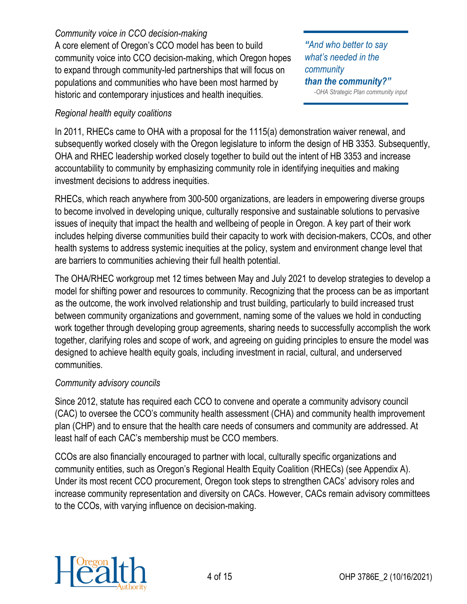#### *Community voice in CCO decision-making*

A core element of Oregon's CCO model has been to build community voice into CCO decision-making, which Oregon hopes to expand through community-led partnerships that will focus on populations and communities who have been most harmed by historic and contemporary injustices and health inequities.

#### *Regional health equity coalitions*

*"And who better to say what's needed in the community than the community?" -OHA Strategic Plan community input*

In 2011, RHECs came to OHA with a proposal for the 1115(a) demonstration waiver renewal, and subsequently worked closely with the Oregon legislature to inform the design of HB 3353. Subsequently, OHA and RHEC leadership worked closely together to build out the intent of HB 3353 and increase accountability to community by emphasizing community role in identifying inequities and making investment decisions to address inequities.

RHECs, which reach anywhere from 300-500 organizations, are leaders in empowering diverse groups to become involved in developing unique, culturally responsive and sustainable solutions to pervasive issues of inequity that impact the health and wellbeing of people in Oregon. A key part of their work includes helping diverse communities build their capacity to work with decision-makers, CCOs, and other health systems to address systemic inequities at the policy, system and environment change level that are barriers to communities achieving their full health potential.

The OHA/RHEC workgroup met 12 times between May and July 2021 to develop strategies to develop a model for shifting power and resources to community. Recognizing that the process can be as important as the outcome, the work involved relationship and trust building, particularly to build increased trust between community organizations and government, naming some of the values we hold in conducting work together through developing group agreements, sharing needs to successfully accomplish the work together, clarifying roles and scope of work, and agreeing on guiding principles to ensure the model was designed to achieve health equity goals, including investment in racial, cultural, and underserved communities.

#### *Community advisory councils*

Since 2012, statute has required each CCO to convene and operate a community advisory council (CAC) to oversee the CCO's community health assessment (CHA) and community health improvement plan (CHP) and to ensure that the health care needs of consumers and community are addressed. At least half of each CAC's membership must be CCO members.

CCOs are also financially encouraged to partner with local, culturally specific organizations and community entities, such as Oregon's Regional Health Equity Coalition (RHECs) (see Appendix A). Under its most recent CCO procurement, Oregon took steps to strengthen CACs' advisory roles and increase community representation and diversity on CACs. However, CACs remain advisory committees to the CCOs, with varying influence on decision-making.

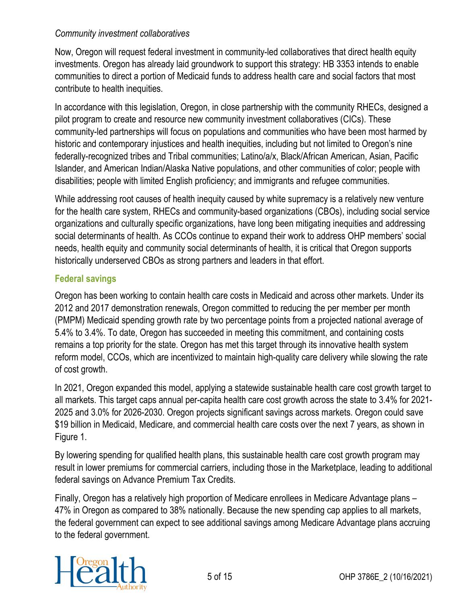#### *Community investment collaboratives*

Now, Oregon will request federal investment in community-led collaboratives that direct health equity investments. Oregon has already laid groundwork to support this strategy: HB 3353 intends to enable communities to direct a portion of Medicaid funds to address health care and social factors that most contribute to health inequities.

In accordance with this legislation, Oregon, in close partnership with the community RHECs, designed a pilot program to create and resource new community investment collaboratives (CICs). These community-led partnerships will focus on populations and communities who have been most harmed by historic and contemporary injustices and health inequities, including but not limited to Oregon's nine federally-recognized tribes and Tribal communities; Latino/a/x, Black/African American, Asian, Pacific Islander, and American Indian/Alaska Native populations, and other communities of color; people with disabilities; people with limited English proficiency; and immigrants and refugee communities.

While addressing root causes of health inequity caused by white supremacy is a relatively new venture for the health care system, RHECs and community-based organizations (CBOs), including social service organizations and culturally specific organizations, have long been mitigating inequities and addressing social determinants of health. As CCOs continue to expand their work to address OHP members' social needs, health equity and community social determinants of health, it is critical that Oregon supports historically underserved CBOs as strong partners and leaders in that effort.

#### **Federal savings**

Oregon has been working to contain health care costs in Medicaid and across other markets. Under its 2012 and 2017 demonstration renewals, Oregon committed to reducing the per member per month (PMPM) Medicaid spending growth rate by two percentage points from a projected national average of 5.4% to 3.4%. To date, Oregon has succeeded in meeting this commitment, and containing costs remains a top priority for the state. Oregon has met this target through its innovative health system reform model, CCOs, which are incentivized to maintain high-quality care delivery while slowing the rate of cost growth.

In 2021, Oregon expanded this model, applying a statewide sustainable health care cost growth target to all markets. This target caps annual per-capita health care cost growth across the state to 3.4% for 2021- 2025 and 3.0% for 2026-2030. Oregon projects significant savings across markets. Oregon could save \$19 billion in Medicaid, Medicare, and commercial health care costs over the next 7 years, as shown in Figure 1.

By lowering spending for qualified health plans, this sustainable health care cost growth program may result in lower premiums for commercial carriers, including those in the Marketplace, leading to additional federal savings on Advance Premium Tax Credits.

Finally, Oregon has a relatively high proportion of Medicare enrollees in Medicare Advantage plans – 47% in Oregon as compared to 38% nationally. Because the new spending cap applies to all markets, the federal government can expect to see additional savings among Medicare Advantage plans accruing to the federal government.

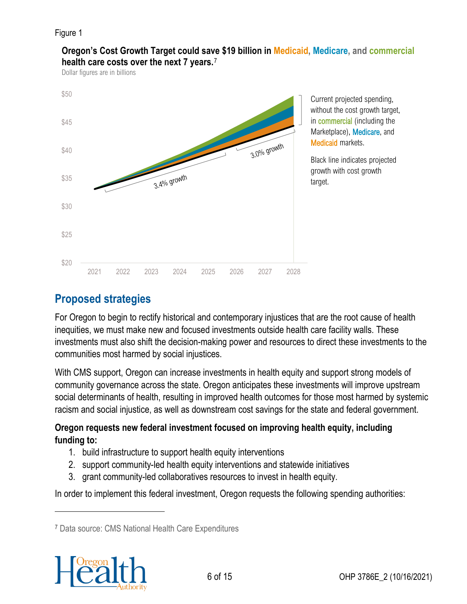#### Figure 1



**Oregon's Cost Growth Target could save \$19 billion in Medicaid, Medicare, and commercial health care costs over the next 7 years.**[7](#page-5-0)[8](#page-5-1)

Dollar figures are in billions

Current projected spending, without the cost growth target, in commercial (including the Marketplace), Medicare, and Medicaid markets.

Black line indicates projected growth with cost growth target.

# **Proposed strategies**

For Oregon to begin to rectify historical and contemporary injustices that are the root cause of health inequities, we must make new and focused investments outside health care facility walls. These investments must also shift the decision-making power and resources to direct these investments to the communities most harmed by social injustices.

With CMS support, Oregon can increase investments in health equity and support strong models of community governance across the state. Oregon anticipates these investments will improve upstream social determinants of health, resulting in improved health outcomes for those most harmed by systemic racism and social injustice, as well as downstream cost savings for the state and federal government.

#### **Oregon requests new federal investment focused on improving health equity, including funding to:**

- 1. build infrastructure to support health equity interventions
- 2. support community-led health equity interventions and statewide initiatives
- 3. grant community-led collaboratives resources to invest in health equity.

In order to implement this federal investment, Oregon requests the following spending authorities:

<span id="page-5-1"></span><span id="page-5-0"></span><sup>7</sup> Data source: CMS National Health Care Expenditures

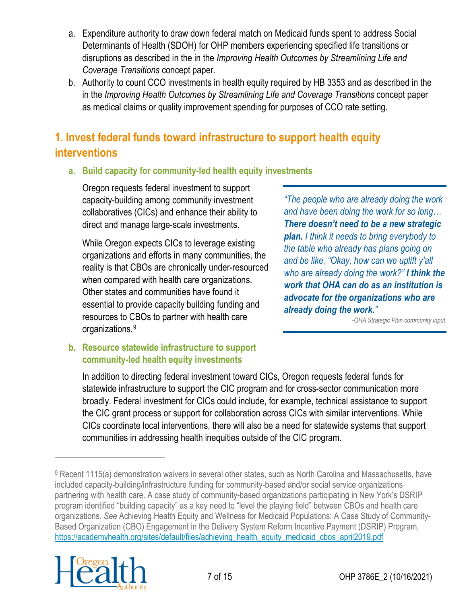- a. Expenditure authority to draw down federal match on Medicaid funds spent to address Social Determinants of Health (SDOH) for OHP members experiencing specified life transitions or disruptions as described in the in the *Improving Health Outcomes by Streamlining Life and Coverage Transitions* concept paper.
- b. Authority to count CCO investments in health equity required by HB 3353 and as described in the in the *Improving Health Outcomes by Streamlining Life and Coverage Transitions* concept paper as medical claims or quality improvement spending for purposes of CCO rate setting.

# **1. Invest federal funds toward infrastructure to support health equity interventions**

**a. Build capacity for community-led health equity investments** 

Oregon requests federal investment to support capacity-building among community investment collaboratives (CICs) and enhance their ability to direct and manage large-scale investments.

While Oregon expects CICs to leverage existing organizations and efforts in many communities, the reality is that CBOs are chronically under-resourced when compared with health care organizations. Other states and communities have found it essential to provide capacity building funding and resources to CBOs to partner with health care organizations.[9](#page-6-0)

*"The people who are already doing the work and have been doing the work for so long… There doesn't need to be a new strategic plan. I think it needs to bring everybody to the table who already has plans going on and be like, "Okay, how can we uplift y'all who are already doing the work?" I think the work that OHA can do as an institution is advocate for the organizations who are already doing the work."*

*-OHA Strategic Plan community input*

#### **b. Resource statewide infrastructure to support community-led health equity investments**

In addition to directing federal investment toward CICs, Oregon requests federal funds for statewide infrastructure to support the CIC program and for cross-sector communication more broadly. Federal investment for CICs could include, for example, technical assistance to support the CIC grant process or support for collaboration across CICs with similar interventions. While CICs coordinate local interventions, there will also be a need for statewide systems that support communities in addressing health inequities outside of the CIC program.

<span id="page-6-0"></span><sup>9</sup> Recent 1115(a) demonstration waivers in several other states, such as North Carolina and Massachusetts, have included capacity-building/infrastructure funding for community-based and/or social service organizations partnering with health care. A case study of community-based organizations participating in New York's DSRIP program identified "building capacity" as a key need to "level the playing field" between CBOs and health care organizations. *See* Achieving Health Equity and Wellness for Medicaid Populations: A Case Study of Community-Based Organization (CBO) Engagement in the Delivery System Reform Incentive Payment (DSRIP) Program, [https://academyhealth.org/sites/default/files/achieving\\_health\\_equity\\_medicaid\\_cbos\\_april2019.pdf](https://academyhealth.org/sites/default/files/achieving_health_equity_medicaid_cbos_april2019.pdf)

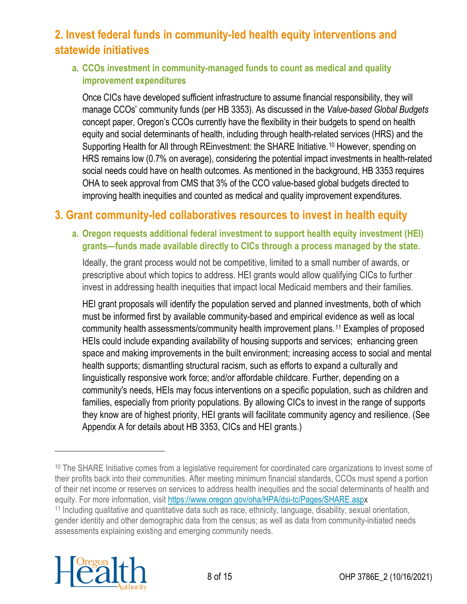# **2. Invest federal funds in community-led health equity interventions and statewide initiatives**

#### **a. CCOs investment in community-managed funds to count as medical and quality improvement expenditures**

Once CICs have developed sufficient infrastructure to assume financial responsibility, they will manage CCOs' community funds (per HB 3353). As discussed in the *Value-based Global Budgets* concept paper, Oregon's CCOs currently have the flexibility in their budgets to spend on health equity and social determinants of health, including through health-related services (HRS) and the Supporting Health for All through REinvestment: the SHARE Initiative.<sup>[10](#page-7-0)</sup> However, spending on HRS remains low (0.7% on average), considering the potential impact investments in health-related social needs could have on health outcomes. As mentioned in the background, HB 3353 requires OHA to seek approval from CMS that 3% of the CCO value-based global budgets directed to improving health inequities and counted as medical and quality improvement expenditures.

### **3. Grant community-led collaboratives resources to invest in health equity**

#### **a. Oregon requests additional federal investment to support health equity investment (HEI) grants—funds made available directly to CICs through a process managed by the state.**

Ideally, the grant process would not be competitive, limited to a small number of awards, or prescriptive about which topics to address. HEI grants would allow qualifying CICs to further invest in addressing health inequities that impact local Medicaid members and their families.

HEI grant proposals will identify the population served and planned investments, both of which must be informed first by available community-based and empirical evidence as well as local community health assessments/community health improvement plans.[11](#page-7-1) Examples of proposed HEIs could include expanding availability of housing supports and services; enhancing green space and making improvements in the built environment; increasing access to social and mental health supports; dismantling structural racism, such as efforts to expand a culturally and linguistically responsive work force; and/or affordable childcare. Further, depending on a community's needs, HEIs may focus interventions on a specific population, such as children and families, especially from priority populations. By allowing CICs to invest in the range of supports they know are of highest priority, HEI grants will facilitate community agency and resilience. (See Appendix A for details about HB 3353, CICs and HEI grants.)

<span id="page-7-1"></span><sup>&</sup>lt;sup>11</sup> Including qualitative and quantitative data such as race, ethnicity, language, disability, sexual orientation, gender identity and other demographic data from the census; as well as data from community-initiated needs assessments explaining existing and emerging community needs.



<span id="page-7-0"></span><sup>&</sup>lt;sup>10</sup> The SHARE Initiative comes from a legislative requirement for coordinated care organizations to invest some of their profits back into their communities. After meeting minimum financial standards, CCOs must spend a portion of their net income or reserves on services to address health inequities and the social determinants of health and equity. For more information, visit<https://www.oregon.gov/oha/HPA/dsi-tc/Pages/SHARE.aspx>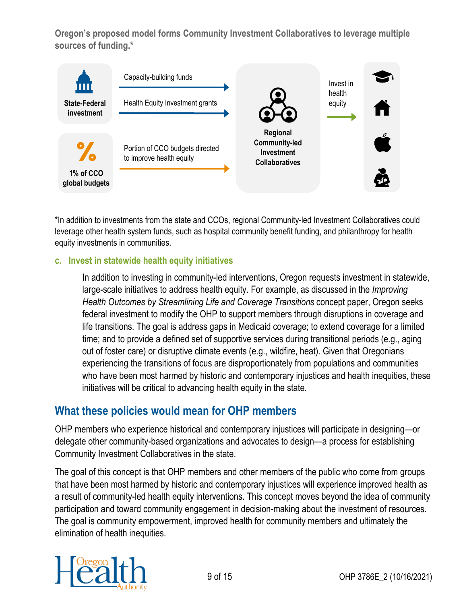**Oregon's proposed model forms Community Investment Collaboratives to leverage multiple sources of funding.\***



\*In addition to investments from the state and CCOs, regional Community-led Investment Collaboratives could leverage other health system funds, such as hospital community benefit funding, and philanthropy for health equity investments in communities.

#### **c. Invest in statewide health equity initiatives**

In addition to investing in community-led interventions, Oregon requests investment in statewide, large-scale initiatives to address health equity. For example, as discussed in the *Improving Health Outcomes by Streamlining Life and Coverage Transitions* concept paper, Oregon seeks federal investment to modify the OHP to support members through disruptions in coverage and life transitions. The goal is address gaps in Medicaid coverage; to extend coverage for a limited time; and to provide a defined set of supportive services during transitional periods (e.g., aging out of foster care) or disruptive climate events (e.g., wildfire, heat). Given that Oregonians experiencing the transitions of focus are disproportionately from populations and communities who have been most harmed by historic and contemporary injustices and health inequities, these initiatives will be critical to advancing health equity in the state.

#### **What these policies would mean for OHP members**

OHP members who experience historical and contemporary injustices will participate in designing—or delegate other community-based organizations and advocates to design—a process for establishing Community Investment Collaboratives in the state.

The goal of this concept is that OHP members and other members of the public who come from groups that have been most harmed by historic and contemporary injustices will experience improved health as a result of community-led health equity interventions. This concept moves beyond the idea of community participation and toward community engagement in decision-making about the investment of resources. The goal is community empowerment, improved health for community members and ultimately the elimination of health inequities.

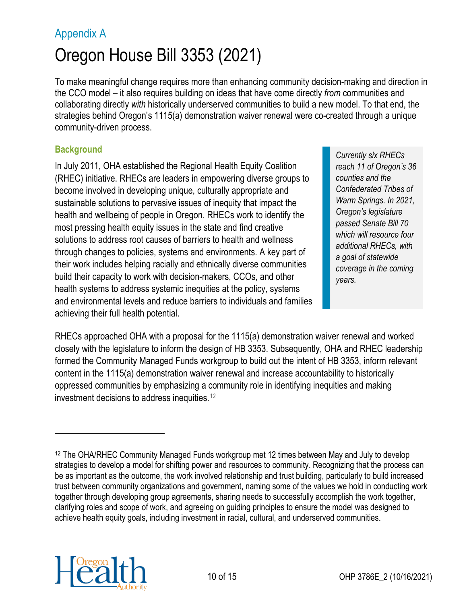# Appendix A Oregon House Bill 3353 (2021)

To make meaningful change requires more than enhancing community decision-making and direction in the CCO model – it also requires building on ideas that have come directly *from* communities and collaborating directly *with* historically underserved communities to build a new model. To that end, the strategies behind Oregon's 1115(a) demonstration waiver renewal were co-created through a unique community-driven process.

#### **Background**

In July 2011, OHA established the Regional Health Equity Coalition (RHEC) initiative. RHECs are leaders in empowering diverse groups to become involved in developing unique, culturally appropriate and sustainable solutions to pervasive issues of inequity that impact the health and wellbeing of people in Oregon. RHECs work to identify the most pressing health equity issues in the state and find creative solutions to address root causes of barriers to health and wellness through changes to policies, systems and environments. A key part of their work includes helping racially and ethnically diverse communities build their capacity to work with decision-makers, CCOs, and other health systems to address systemic inequities at the policy, systems and environmental levels and reduce barriers to individuals and families achieving their full health potential.

*Currently six RHECs reach 11 of Oregon's 36 counties and the Confederated Tribes of Warm Springs. In 2021, Oregon's legislature passed Senate Bill 70 which will resource four additional RHECs, with a goal of statewide coverage in the coming years.*

RHECs approached OHA with a proposal for the 1115(a) demonstration waiver renewal and worked closely with the legislature to inform the design of HB 3353. Subsequently, OHA and RHEC leadership formed the Community Managed Funds workgroup to build out the intent of HB 3353, inform relevant content in the 1115(a) demonstration waiver renewal and increase accountability to historically oppressed communities by emphasizing a community role in identifying inequities and making investment decisions to address inequities.[12](#page-9-0) 



<span id="page-9-0"></span><sup>12</sup> The OHA/RHEC Community Managed Funds workgroup met 12 times between May and July to develop strategies to develop a model for shifting power and resources to community. Recognizing that the process can be as important as the outcome, the work involved relationship and trust building, particularly to build increased trust between community organizations and government, naming some of the values we hold in conducting work together through developing group agreements, sharing needs to successfully accomplish the work together, clarifying roles and scope of work, and agreeing on guiding principles to ensure the model was designed to achieve health equity goals, including investment in racial, cultural, and underserved communities.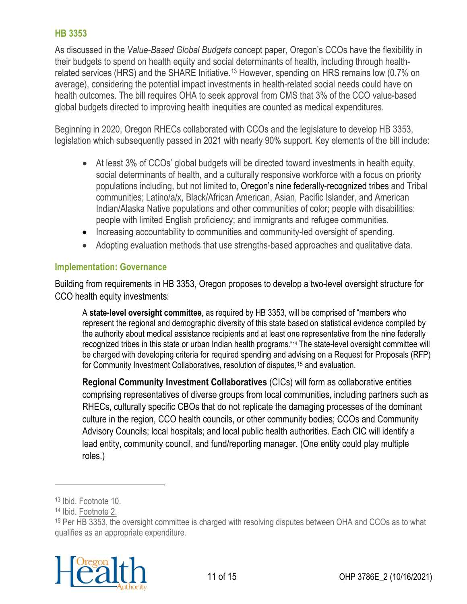As discussed in the *Value-Based Global Budgets* concept paper, Oregon's CCOs have the flexibility in their budgets to spend on health equity and social determinants of health, including through health-related services (HRS) and the SHARE Initiative.<sup>[13](#page-10-0)</sup> However, spending on HRS remains low (0.7% on average), considering the potential impact investments in health-related social needs could have on health outcomes. The bill requires OHA to seek approval from CMS that 3% of the CCO value-based global budgets directed to improving health inequities are counted as medical expenditures.

Beginning in 2020, Oregon RHECs collaborated with CCOs and the legislature to develop HB 3353, legislation which subsequently passed in 2021 with nearly 90% support. Key elements of the bill include:

- At least 3% of CCOs' global budgets will be directed toward investments in health equity, social determinants of health, and a culturally responsive workforce with a focus on priority populations including, but not limited to, Oregon's nine federally-recognized tribes and Tribal communities; Latino/a/x, Black/African American, Asian, Pacific Islander, and American Indian/Alaska Native populations and other communities of color; people with disabilities; people with limited English proficiency; and immigrants and refugee communities.
- Increasing accountability to communities and community-led oversight of spending.
- Adopting evaluation methods that use strengths-based approaches and qualitative data.

#### **Implementation: Governance**

Building from requirements in HB 3353, Oregon proposes to develop a two-level oversight structure for CCO health equity investments:

A **state-level oversight committee**, as required by HB 3353, will be comprised of "members who represent the regional and demographic diversity of this state based on statistical evidence compiled by the authority about medical assistance recipients and at least one representative from the nine federally recognized tribes in this state or urban Indian health programs."[14](#page-10-1) The state-level oversight committee will be charged with developing criteria for required spending and advising on a Request for Proposals (RFP) for Community Investment Collaboratives, resolution of disputes, <sup>[15](#page-10-2)</sup> and evaluation.

**Regional Community Investment Collaboratives** (CICs) will form as collaborative entities comprising representatives of diverse groups from local communities, including partners such as RHECs, culturally specific CBOs that do not replicate the damaging processes of the dominant culture in the region, CCO health councils, or other community bodies; CCOs and Community Advisory Councils; local hospitals; and local public health authorities. Each CIC will identify a lead entity, community council, and fund/reporting manager. (One entity could play multiple roles.)

<span id="page-10-2"></span><span id="page-10-1"></span><span id="page-10-0"></span><sup>15</sup> Per HB 3353, the oversight committee is charged with resolving disputes between OHA and CCOs as to what qualifies as an appropriate expenditure.



<sup>13</sup> Ibid. Footnote 10.

<sup>14</sup> Ibid. Footnote 2.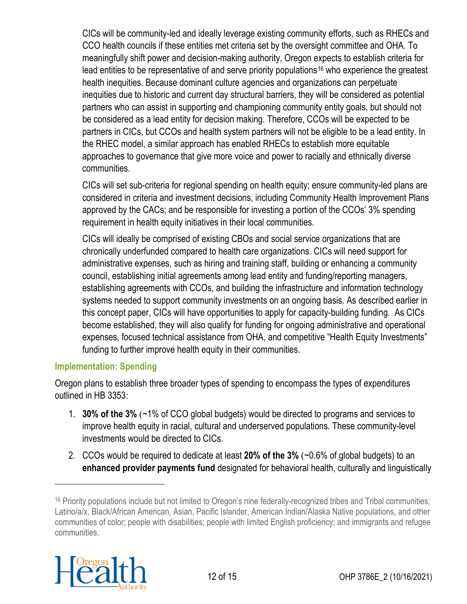CICs will be community-led and ideally leverage existing community efforts, such as RHECs and CCO health councils if these entities met criteria set by the oversight committee and OHA. To meaningfully shift power and decision-making authority, Oregon expects to establish criteria for lead entities to be representative of and serve priority populations<sup>[16](#page-11-0)</sup> who experience the greatest health inequities. Because dominant culture agencies and organizations can perpetuate inequities due to historic and current day structural barriers, they will be considered as potential partners who can assist in supporting and championing community entity goals, but should not be considered as a lead entity for decision making. Therefore, CCOs will be expected to be partners in CICs, but CCOs and health system partners will not be eligible to be a lead entity. In the RHEC model, a similar approach has enabled RHECs to establish more equitable approaches to governance that give more voice and power to racially and ethnically diverse communities.

CICs will set sub-criteria for regional spending on health equity; ensure community-led plans are considered in criteria and investment decisions, including Community Health Improvement Plans approved by the CACs; and be responsible for investing a portion of the CCOs' 3% spending requirement in health equity initiatives in their local communities.

CICs will ideally be comprised of existing CBOs and social service organizations that are chronically underfunded compared to health care organizations. CICs will need support for administrative expenses, such as hiring and training staff, building or enhancing a community council, establishing initial agreements among lead entity and funding/reporting managers, establishing agreements with CCOs, and building the infrastructure and information technology systems needed to support community investments on an ongoing basis. As described earlier in this concept paper, CICs will have opportunities to apply for capacity-building funding. As CICs become established, they will also qualify for funding for ongoing administrative and operational expenses, focused technical assistance from OHA, and competitive "Health Equity Investments" funding to further improve health equity in their communities.

#### **Implementation: Spending**

Oregon plans to establish three broader types of spending to encompass the types of expenditures outlined in HB 3353:

- 1. **30% of the 3%** (~1% of CCO global budgets) would be directed to programs and services to improve health equity in racial, cultural and underserved populations. These community-level investments would be directed to CICs.
- 2. CCOs would be required to dedicate at least **20% of the 3%** (~0.6% of global budgets) to an **enhanced provider payments fund** designated for behavioral health, culturally and linguistically

<span id="page-11-0"></span><sup>16</sup> Priority populations include but not limited to Oregon's nine federally-recognized tribes and Tribal communities; Latino/a/x, Black/African American, Asian, Pacific Islander, American Indian/Alaska Native populations, and other communities of color; people with disabilities; people with limited English proficiency; and immigrants and refugee communities.

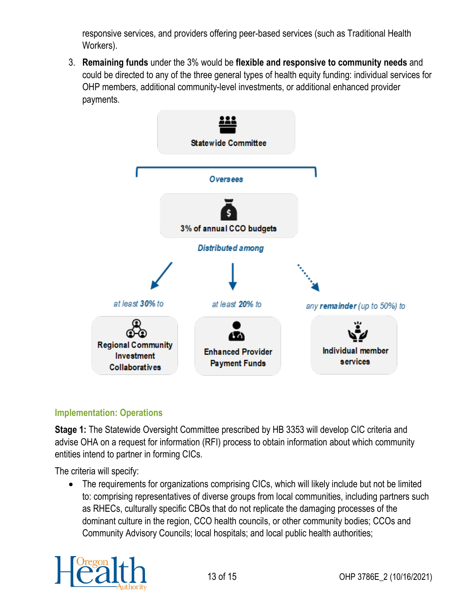responsive services, and providers offering peer-based services (such as Traditional Health Workers).

3. **Remaining funds** under the 3% would be **flexible and responsive to community needs** and could be directed to any of the three general types of health equity funding: individual services for OHP members, additional community-level investments, or additional enhanced provider payments.



#### **Implementation: Operations**

**Stage 1:** The Statewide Oversight Committee prescribed by HB 3353 will develop CIC criteria and advise OHA on a request for information (RFI) process to obtain information about which community entities intend to partner in forming CICs.

The criteria will specify:

• The requirements for organizations comprising CICs, which will likely include but not be limited to: comprising representatives of diverse groups from local communities, including partners such as RHECs, culturally specific CBOs that do not replicate the damaging processes of the dominant culture in the region, CCO health councils, or other community bodies; CCOs and Community Advisory Councils; local hospitals; and local public health authorities;

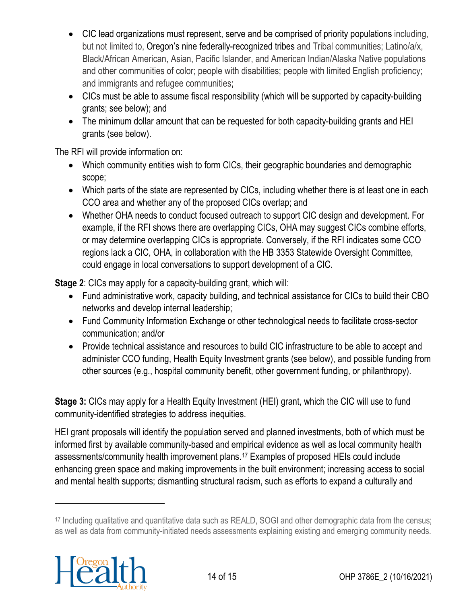- CIC lead organizations must represent, serve and be comprised of priority populations including, but not limited to, Oregon's nine federally-recognized tribes and Tribal communities; Latino/a/x, Black/African American, Asian, Pacific Islander, and American Indian/Alaska Native populations and other communities of color; people with disabilities; people with limited English proficiency; and immigrants and refugee communities;
- CICs must be able to assume fiscal responsibility (which will be supported by capacity-building grants; see below); and
- The minimum dollar amount that can be requested for both capacity-building grants and HEI grants (see below).

The RFI will provide information on:

- Which community entities wish to form CICs, their geographic boundaries and demographic scope;
- Which parts of the state are represented by CICs, including whether there is at least one in each CCO area and whether any of the proposed CICs overlap; and
- Whether OHA needs to conduct focused outreach to support CIC design and development. For example, if the RFI shows there are overlapping CICs, OHA may suggest CICs combine efforts, or may determine overlapping CICs is appropriate. Conversely, if the RFI indicates some CCO regions lack a CIC, OHA, in collaboration with the HB 3353 Statewide Oversight Committee, could engage in local conversations to support development of a CIC.

**Stage 2**: CICs may apply for a capacity-building grant, which will:

- Fund administrative work, capacity building, and technical assistance for CICs to build their CBO networks and develop internal leadership;
- Fund Community Information Exchange or other technological needs to facilitate cross-sector communication; and/or
- Provide technical assistance and resources to build CIC infrastructure to be able to accept and administer CCO funding, Health Equity Investment grants (see below), and possible funding from other sources (e.g., hospital community benefit, other government funding, or philanthropy).

**Stage 3:** CICs may apply for a Health Equity Investment (HEI) grant, which the CIC will use to fund community-identified strategies to address inequities.

HEI grant proposals will identify the population served and planned investments, both of which must be informed first by available community-based and empirical evidence as well as local community health assessments/community health improvement plans.[17](#page-13-0) Examples of proposed HEIs could include enhancing green space and making improvements in the built environment; increasing access to social and mental health supports; dismantling structural racism, such as efforts to expand a culturally and

<span id="page-13-0"></span><sup>17</sup> Including qualitative and quantitative data such as REALD, SOGI and other demographic data from the census; as well as data from community-initiated needs assessments explaining existing and emerging community needs.